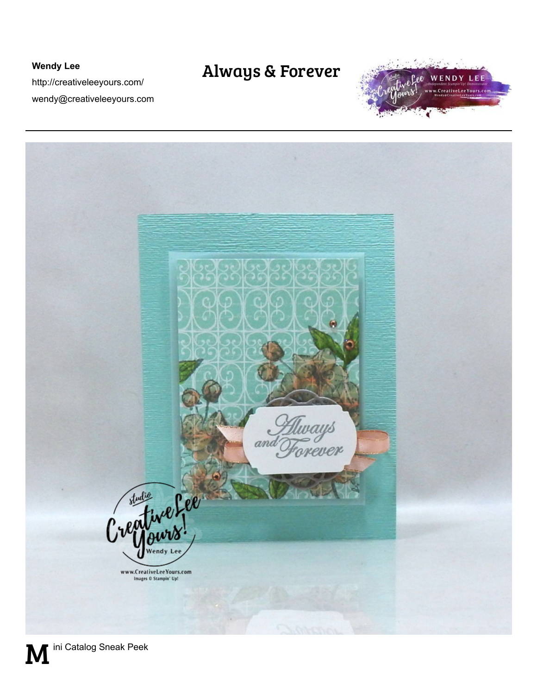## **Wendy Lee**

http://creativeleeyours.com/ wendy@creativeleeyours.com

## Always & Forever





M ini Catalog Sneak Peek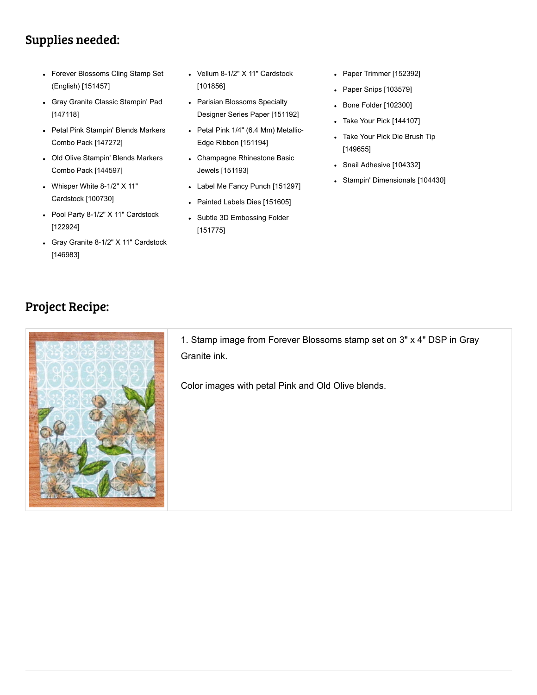## Supplies needed:

- [Forever Blossoms Cling Stamp Set](http://www.stampinup.com/ECWeb/ProductDetails.aspx?productID=151457&dbwsdemoid=73266) (English) [151457]
- [Gray Granite Classic Stampin' Pad](http://www.stampinup.com/ECWeb/ProductDetails.aspx?productID=147118&dbwsdemoid=73266) [147118]
- [Petal Pink Stampin' Blends Markers](http://www.stampinup.com/ECWeb/ProductDetails.aspx?productID=147272&dbwsdemoid=73266) Combo Pack [147272]
- [Old Olive Stampin' Blends Markers](http://www.stampinup.com/ECWeb/ProductDetails.aspx?productID=144597&dbwsdemoid=73266) Combo Pack [144597]
- [Whisper White 8-1/2" X 11"](http://www.stampinup.com/ECWeb/ProductDetails.aspx?productID=100730&dbwsdemoid=73266) Cardstock [100730]
- [Pool Party 8-1/2" X 11" Cardstock](http://www.stampinup.com/ECWeb/ProductDetails.aspx?productID=122924&dbwsdemoid=73266) [122924]
- [Gray Granite 8-1/2" X 11" Cardstock](http://www.stampinup.com/ECWeb/ProductDetails.aspx?productID=146983&dbwsdemoid=73266) [146983]
- [Vellum 8-1/2" X 11" Cardstock](http://www.stampinup.com/ECWeb/ProductDetails.aspx?productID=101856&dbwsdemoid=73266) [101856]
- Parisian Blossoms Specialty [Designer Series Paper \[151192\]](http://www.stampinup.com/ECWeb/ProductDetails.aspx?productID=151192&dbwsdemoid=73266)
- [Petal Pink 1/4" \(6.4 Mm\) Metallic-](http://www.stampinup.com/ECWeb/ProductDetails.aspx?productID=151194&dbwsdemoid=73266)Edge Ribbon [151194]
- [Champagne Rhinestone Basic](http://www.stampinup.com/ECWeb/ProductDetails.aspx?productID=151193&dbwsdemoid=73266) Jewels [151193]
- [Label Me Fancy Punch \[151297\]](http://www.stampinup.com/ECWeb/ProductDetails.aspx?productID=151297&dbwsdemoid=73266)
- [Painted Labels Dies \[151605\]](http://www.stampinup.com/ECWeb/ProductDetails.aspx?productID=151605&dbwsdemoid=73266)
- [Subtle 3D Embossing Folder](http://www.stampinup.com/ECWeb/ProductDetails.aspx?productID=151775&dbwsdemoid=73266) [151775]
- [Paper Trimmer \[152392\]](http://www.stampinup.com/ECWeb/ProductDetails.aspx?productID=152392&dbwsdemoid=73266)
- [Paper Snips \[103579\]](http://www.stampinup.com/ECWeb/ProductDetails.aspx?productID=103579&dbwsdemoid=73266)
- [Bone Folder \[102300\]](http://www.stampinup.com/ECWeb/ProductDetails.aspx?productID=102300&dbwsdemoid=73266)
- [Take Your Pick \[144107\]](http://www.stampinup.com/ECWeb/ProductDetails.aspx?productID=144107&dbwsdemoid=73266)
- [Take Your Pick Die Brush Tip](http://www.stampinup.com/ECWeb/ProductDetails.aspx?productID=149655&dbwsdemoid=73266) [149655]
- [Snail Adhesive \[104332\]](http://www.stampinup.com/ECWeb/ProductDetails.aspx?productID=104332&dbwsdemoid=73266)
- [Stampin' Dimensionals \[104430\]](http://www.stampinup.com/ECWeb/ProductDetails.aspx?productID=104430&dbwsdemoid=73266)

## Project Recipe:



1. Stamp image from Forever Blossoms stamp set on 3" x 4" DSP in Gray Granite ink.

Color images with petal Pink and Old Olive blends.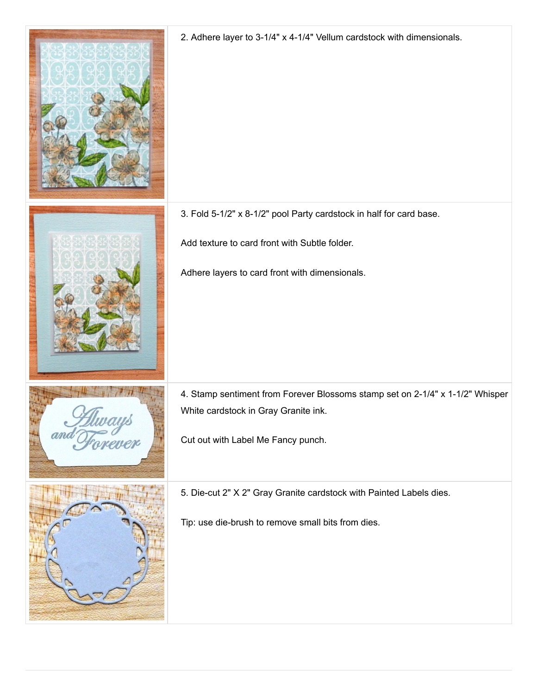